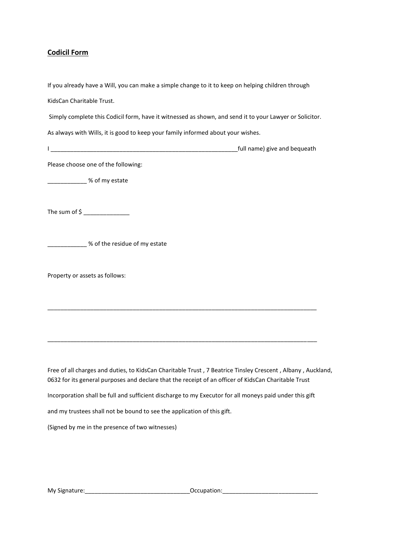## **Codicil Form**

| If you already have a Will, you can make a simple change to it to keep on helping children through                                                                                                                  |
|---------------------------------------------------------------------------------------------------------------------------------------------------------------------------------------------------------------------|
| KidsCan Charitable Trust.                                                                                                                                                                                           |
| Simply complete this Codicil form, have it witnessed as shown, and send it to your Lawyer or Solicitor.                                                                                                             |
| As always with Wills, it is good to keep your family informed about your wishes.                                                                                                                                    |
|                                                                                                                                                                                                                     |
| Please choose one of the following:                                                                                                                                                                                 |
| <u>________________</u> % of my estate                                                                                                                                                                              |
|                                                                                                                                                                                                                     |
| ______________% of the residue of my estate                                                                                                                                                                         |
| Property or assets as follows:                                                                                                                                                                                      |
|                                                                                                                                                                                                                     |
|                                                                                                                                                                                                                     |
|                                                                                                                                                                                                                     |
| Free of all charges and duties, to KidsCan Charitable Trust, 7 Beatrice Tinsley Crescent, Albany, Auckland,<br>0632 for its general purposes and declare that the receipt of an officer of KidsCan Charitable Trust |

Incorporation shall be full and sufficient discharge to my Executor for all moneys paid under this gift

and my trustees shall not be bound to see the application of this gift.

(Signed by me in the presence of two witnesses)

My Signature:\_\_\_\_\_\_\_\_\_\_\_\_\_\_\_\_\_\_\_\_\_\_\_\_\_\_\_\_\_\_\_\_Occupation:\_\_\_\_\_\_\_\_\_\_\_\_\_\_\_\_\_\_\_\_\_\_\_\_\_\_\_\_\_